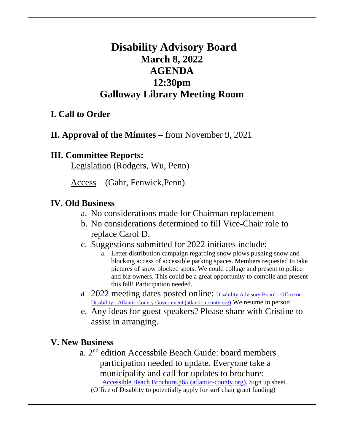# **Disability Advisory Board March 8, 2022 AGENDA 12:30pm Galloway Library Meeting Room**

# **I. Call to Order**

## **II. Approval of the Minutes –** from November 9, 2021

#### **III. Committee Reports:**

Legislation (Rodgers, Wu, Penn)

Access (Gahr, Fenwick,Penn)

#### **IV. Old Business**

- a. No considerations made for Chairman replacement
- b. No considerations determined to fill Vice-Chair role to replace Carol D.
- c. Suggestions submitted for 2022 initiates include:
	- a. Letter distribution campaign regarding snow plows pushing snow and blocking access of accessible parking spaces. Members requested to take pictures of snow blocked spots. We could collage and present to police and biz owners. This could be a great opportunity to compile and present this fall! Participation needed.
- d. 2022 meeting dates posted online: [Disability Advisory Board -](https://www.atlantic-county.org/disability/advisory-board.asp) Office on Disability - [Atlantic County Government \(atlantic-county.org\)](https://www.atlantic-county.org/disability/advisory-board.asp) We resume in person!
- e. Any ideas for guest speakers? Please share with Cristine to assist in arranging.

#### **V. New Business**

a. 2<sup>nd</sup> edition Accessbile Beach Guide: board members participation needed to update. Everyone take a municipality and call for updates to brochure: Accessible [Beach Brochure.p65 \(atlantic-county.org\).](https://www.atlantic-county.org/documents/disability/AccessibleBeachGuide2021.pdf) Sign up sheet. (Office of Disablity to potentially apply for surf chair grant funding)